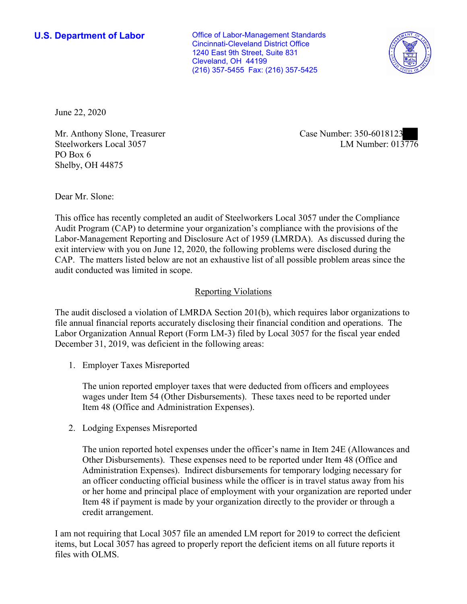Cleveland, OH 44199 **U.S. Department of Labor Conservative Conservative Conservative Conservative Conservative Conservative Conservative Conservative Conservative Conservative Conservative Conservative Conservative Conservative Conservative** Cincinnati-Cleveland District Office 1240 East 9th Street, Suite 831 (216) 357-5455 Fax: (216) 357-5425



June 22, 2020

Mr. Anthony Slone, Treasurer Steelworkers Local 3057 PO Box 6 Shelby, OH 44875

Case Number: 350-6018123<br>LM Number: 013776

Dear Mr. Slone:

 This office has recently completed an audit of Steelworkers Local 3057 under the Compliance Audit Program (CAP) to determine your organization's compliance with the provisions of the Labor-Management Reporting and Disclosure Act of 1959 (LMRDA). As discussed during the exit interview with you on June 12, 2020, the following problems were disclosed during the CAP. The matters listed below are not an exhaustive list of all possible problem areas since the audit conducted was limited in scope.

## Reporting Violations

 Labor Organization Annual Report (Form LM-3) filed by Local 3057 for the fiscal year ended The audit disclosed a violation of LMRDA Section 201(b), which requires labor organizations to file annual financial reports accurately disclosing their financial condition and operations. The December 31, 2019, was deficient in the following areas:

1. Employer Taxes Misreported

 The union reported employer taxes that were deducted from officers and employees wages under Item 54 (Other Disbursements). These taxes need to be reported under Item 48 (Office and Administration Expenses).

2. Lodging Expenses Misreported

 Other Disbursements). These expenses need to be reported under Item 48 (Office and Administration Expenses). Indirect disbursements for temporary lodging necessary for The union reported hotel expenses under the officer's name in Item 24E (Allowances and an officer conducting official business while the officer is in travel status away from his or her home and principal place of employment with your organization are reported under Item 48 if payment is made by your organization directly to the provider or through a credit arrangement.

I am not requiring that Local 3057 file an amended LM report for 2019 to correct the deficient items, but Local 3057 has agreed to properly report the deficient items on all future reports it files with OLMS.